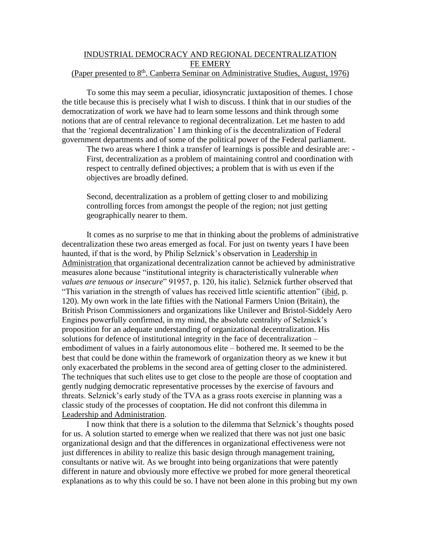# INDUSTRIAL DEMOCRACY AND REGIONAL DECENTRALIZATION FE EMERY

## (Paper presented to  $8<sup>th</sup>$ . Canberra Seminar on Administrative Studies, August, 1976)

To some this may seem a peculiar, idiosyncratic juxtaposition of themes. I chose the title because this is precisely what I wish to discuss. I think that in our studies of the democratization of work we have had to learn some lessons and think through some notions that are of central relevance to regional decentralization. Let me hasten to add that the 'regional decentralization' I am thinking of is the decentralization of Federal government departments and of some of the political power of the Federal parliament.

The two areas where I think a transfer of learnings is possible and desirable are: - First, decentralization as a problem of maintaining control and coordination with respect to centrally defined objectives; a problem that is with us even if the objectives are broadly defined.

Second, decentralization as a problem of getting closer to and mobilizing controlling forces from amongst the people of the region; not just getting geographically nearer to them.

It comes as no surprise to me that in thinking about the problems of administrative decentralization these two areas emerged as focal. For just on twenty years I have been haunted, if that is the word, by Philip Selznick's observation in Leadership in Administration that organizational decentralization cannot be achieved by administrative measures alone because "institutional integrity is characteristically vulnerable *when values are tenuous or insecure*" 91957, p. 120, his italic). Selznick further observed that "This variation in the strength of values has received little scientific attention" (ibid, p. 120). My own work in the late fifties with the National Farmers Union (Britain), the British Prison Commissioners and organizations like Unilever and Bristol-Siddely Aero Engines powerfully confirmed, in my mind, the absolute centrality of Selznick's proposition for an adequate understanding of organizational decentralization. His solutions for defence of institutional integrity in the face of decentralization – embodiment of values in a fairly autonomous elite – bothered me. It seemed to be the best that could be done within the framework of organization theory as we knew it but only exacerbated the problems in the second area of getting closer to the administered. The techniques that such elites use to get close to the people are those of cooptation and gently nudging democratic representative processes by the exercise of favours and threats. Selznick's early study of the TVA as a grass roots exercise in planning was a classic study of the processes of cooptation. He did not confront this dilemma in Leadership and Administration.

I now think that there is a solution to the dilemma that Selznick's thoughts posed for us. A solution started to emerge when we realized that there was not just one basic organizational design and that the differences in organizational effectiveness were not just differences in ability to realize this basic design through management training, consultants or native wit. As we brought into being organizations that were patently different in nature and obviously more effective we probed for more general theoretical explanations as to why this could be so. I have not been alone in this probing but my own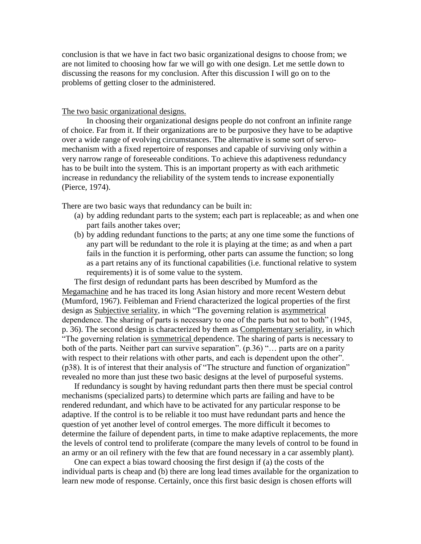conclusion is that we have in fact two basic organizational designs to choose from; we are not limited to choosing how far we will go with one design. Let me settle down to discussing the reasons for my conclusion. After this discussion I will go on to the problems of getting closer to the administered.

#### The two basic organizational designs.

In choosing their organizational designs people do not confront an infinite range of choice. Far from it. If their organizations are to be purposive they have to be adaptive over a wide range of evolving circumstances. The alternative is some sort of servomechanism with a fixed repertoire of responses and capable of surviving only within a very narrow range of foreseeable conditions. To achieve this adaptiveness redundancy has to be built into the system. This is an important property as with each arithmetic increase in redundancy the reliability of the system tends to increase exponentially (Pierce, 1974).

There are two basic ways that redundancy can be built in:

- (a) by adding redundant parts to the system; each part is replaceable; as and when one part fails another takes over;
- (b) by adding redundant functions to the parts; at any one time some the functions of any part will be redundant to the role it is playing at the time; as and when a part fails in the function it is performing, other parts can assume the function; so long as a part retains any of its functional capabilities (i.e. functional relative to system requirements) it is of some value to the system.

The first design of redundant parts has been described by Mumford as the Megamachine and he has traced its long Asian history and more recent Western debut (Mumford, 1967). Feibleman and Friend characterized the logical properties of the first design as Subjective seriality, in which "The governing relation is asymmetrical dependence. The sharing of parts is necessary to one of the parts but not to both" (1945, p. 36). The second design is characterized by them as Complementary seriality, in which "The governing relation is symmetrical dependence. The sharing of parts is necessary to both of the parts. Neither part can survive separation". (p.36) "… parts are on a parity with respect to their relations with other parts, and each is dependent upon the other". (p38). It is of interest that their analysis of "The structure and function of organization" revealed no more than just these two basic designs at the level of purposeful systems.

If redundancy is sought by having redundant parts then there must be special control mechanisms (specialized parts) to determine which parts are failing and have to be rendered redundant, and which have to be activated for any particular response to be adaptive. If the control is to be reliable it too must have redundant parts and hence the question of yet another level of control emerges. The more difficult it becomes to determine the failure of dependent parts, in time to make adaptive replacements, the more the levels of control tend to proliferate (compare the many levels of control to be found in an army or an oil refinery with the few that are found necessary in a car assembly plant).

One can expect a bias toward choosing the first design if (a) the costs of the individual parts is cheap and (b) there are long lead times available for the organization to learn new mode of response. Certainly, once this first basic design is chosen efforts will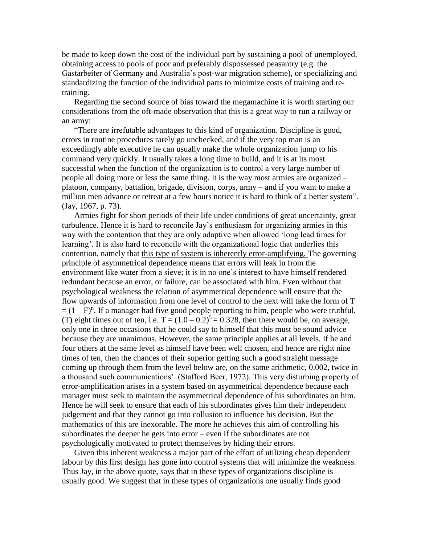be made to keep down the cost of the individual part by sustaining a pool of unemployed, obtaining access to pools of poor and preferably dispossessed peasantry (e.g. the Gastarbeiter of Germany and Australia's post-war migration scheme), or specializing and standardizing the function of the individual parts to minimize costs of training and retraining.

Regarding the second source of bias toward the megamachine it is worth starting our considerations from the oft-made observation that this is a great way to run a railway or an army:

"There are irrefutable advantages to this kind of organization. Discipline is good, errors in routine procedures rarely go unchecked, and if the very top man is an exceedingly able executive he can usually make the whole organization jump to his command very quickly. It usually takes a long time to build, and it is at its most successful when the function of the organization is to control a very large number of people all doing more or less the same thing. It is the way most armies are organized – platoon, company, battalion, brigade, division, corps, army – and if you want to make a million men advance or retreat at a few hours notice it is hard to think of a better system". (Jay, 1967, p. 73).

Armies fight for short periods of their life under conditions of great uncertainty, great turbulence. Hence it is hard to reconcile Jay's enthusiasm for organizing armies in this way with the contention that they are only adaptive when allowed 'long lead times for learning'. It is also hard to reconcile with the organizational logic that underlies this contention, namely that this type of system is inherently error-amplifying. The governing principle of asymmetrical dependence means that errors will leak in from the environment like water from a sieve; it is in no one's interest to have himself rendered redundant because an error, or failure, can be associated with him. Even without that psychological weakness the relation of asymmetrical dependence will ensure that the flow upwards of information from one level of control to the next will take the form of T  $= (1 - F)^n$ . If a manager had five good people reporting to him, people who were truthful, (T) eight times out of ten, i.e.  $T = (1.0 - 0.2)^5 = 0.328$ , then there would be, on average, only one in three occasions that he could say to himself that this must be sound advice because they are unanimous. However, the same principle applies at all levels. If he and four others at the same level as himself have been well chosen, and hence are right nine times of ten, then the chances of their superior getting such a good straight message coming up through them from the level below are, on the same arithmetic, 0.002, twice in a thousand such communications'. (Stafford Beer, 1972). This very disturbing property of error-amplification arises in a system based on asymmetrical dependence because each manager must seek to maintain the asymmetrical dependence of his subordinates on him. Hence he will seek to ensure that each of his subordinates gives him their independent judgement and that they cannot go into collusion to influence his decision. But the mathematics of this are inexorable. The more he achieves this aim of controlling his subordinates the deeper he gets into error – even if the subordinates are not psychologically motivated to protect themselves by hiding their errors.

Given this inherent weakness a major part of the effort of utilizing cheap dependent labour by this first design has gone into control systems that will minimize the weakness. Thus Jay, in the above quote, says that in these types of organizations discipline is usually good. We suggest that in these types of organizations one usually finds good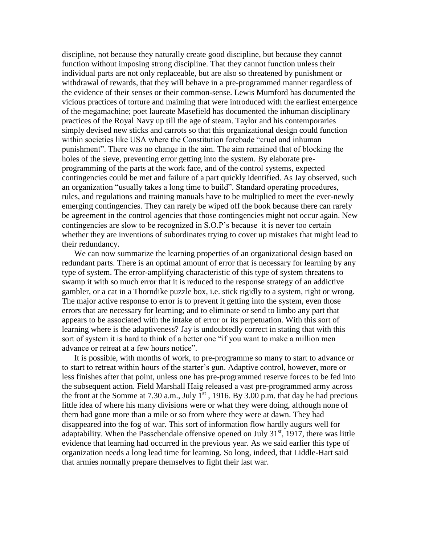discipline, not because they naturally create good discipline, but because they cannot function without imposing strong discipline. That they cannot function unless their individual parts are not only replaceable, but are also so threatened by punishment or withdrawal of rewards, that they will behave in a pre-programmed manner regardless of the evidence of their senses or their common-sense. Lewis Mumford has documented the vicious practices of torture and maiming that were introduced with the earliest emergence of the megamachine; poet laureate Masefield has documented the inhuman disciplinary practices of the Royal Navy up till the age of steam. Taylor and his contemporaries simply devised new sticks and carrots so that this organizational design could function within societies like USA where the Constitution forebade "cruel and inhuman punishment". There was no change in the aim. The aim remained that of blocking the holes of the sieve, preventing error getting into the system. By elaborate preprogramming of the parts at the work face, and of the control systems, expected contingencies could be met and failure of a part quickly identified. As Jay observed, such an organization "usually takes a long time to build". Standard operating procedures, rules, and regulations and training manuals have to be multiplied to meet the ever-newly emerging contingencies. They can rarely be wiped off the book because there can rarely be agreement in the control agencies that those contingencies might not occur again. New contingencies are slow to be recognized in S.O.P's because it is never too certain whether they are inventions of subordinates trying to cover up mistakes that might lead to their redundancy.

We can now summarize the learning properties of an organizational design based on redundant parts. There is an optimal amount of error that is necessary for learning by any type of system. The error-amplifying characteristic of this type of system threatens to swamp it with so much error that it is reduced to the response strategy of an addictive gambler, or a cat in a Thorndike puzzle box, i.e. stick rigidly to a system, right or wrong. The major active response to error is to prevent it getting into the system, even those errors that are necessary for learning; and to eliminate or send to limbo any part that appears to be associated with the intake of error or its perpetuation. With this sort of learning where is the adaptiveness? Jay is undoubtedly correct in stating that with this sort of system it is hard to think of a better one "if you want to make a million men advance or retreat at a few hours notice".

It is possible, with months of work, to pre-programme so many to start to advance or to start to retreat within hours of the starter's gun. Adaptive control, however, more or less finishes after that point, unless one has pre-programmed reserve forces to be fed into the subsequent action. Field Marshall Haig released a vast pre-programmed army across the front at the Somme at 7.30 a.m., July  $1<sup>st</sup>$ , 1916. By 3.00 p.m. that day he had precious little idea of where his many divisions were or what they were doing, although none of them had gone more than a mile or so from where they were at dawn. They had disappeared into the fog of war. This sort of information flow hardly augurs well for adaptability. When the Passchendale offensive opened on July  $31<sup>st</sup>$ , 1917, there was little evidence that learning had occurred in the previous year. As we said earlier this type of organization needs a long lead time for learning. So long, indeed, that Liddle-Hart said that armies normally prepare themselves to fight their last war.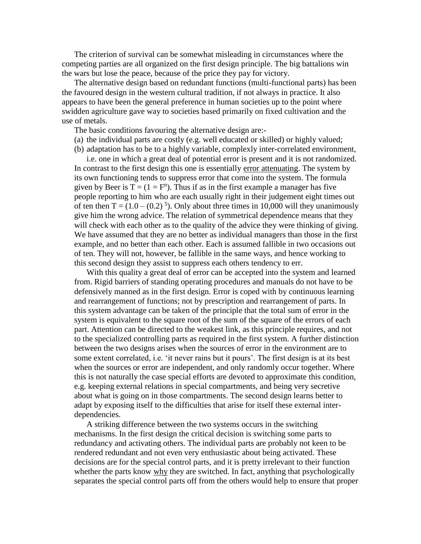The criterion of survival can be somewhat misleading in circumstances where the competing parties are all organized on the first design principle. The big battalions win the wars but lose the peace, because of the price they pay for victory.

The alternative design based on redundant functions (multi-functional parts) has been the favoured design in the western cultural tradition, if not always in practice. It also appears to have been the general preference in human societies up to the point where swidden agriculture gave way to societies based primarily on fixed cultivation and the use of metals.

The basic conditions favouring the alternative design are:-

- (a) the individual parts are costly (e.g. well educated or skilled) or highly valued;
- (b) adaptation has to be to a highly variable, complexly inter-correlated environment,

i.e. one in which a great deal of potential error is present and it is not randomized. In contrast to the first design this one is essentially error attenuating. The system by its own functioning tends to suppress error that come into the system. The formula given by Beer is  $T = (1 = F<sup>n</sup>)$ . Thus if as in the first example a manager has five people reporting to him who are each usually right in their judgement eight times out of ten then  $T = (1.0 - (0.2)^5)$ . Only about three times in 10,000 will they unanimously give him the wrong advice. The relation of symmetrical dependence means that they will check with each other as to the quality of the advice they were thinking of giving. We have assumed that they are no better as individual managers than those in the first example, and no better than each other. Each is assumed fallible in two occasions out of ten. They will not, however, be fallible in the same ways, and hence working to this second design they assist to suppress each others tendency to err.

With this quality a great deal of error can be accepted into the system and learned from. Rigid barriers of standing operating procedures and manuals do not have to be defensively manned as in the first design. Error is coped with by continuous learning and rearrangement of functions; not by prescription and rearrangement of parts. In this system advantage can be taken of the principle that the total sum of error in the system is equivalent to the square root of the sum of the square of the errors of each part. Attention can be directed to the weakest link, as this principle requires, and not to the specialized controlling parts as required in the first system. A further distinction between the two designs arises when the sources of error in the environment are to some extent correlated, i.e. 'it never rains but it pours'. The first design is at its best when the sources or error are independent, and only randomly occur together. Where this is not naturally the case special efforts are devoted to approximate this condition, e.g. keeping external relations in special compartments, and being very secretive about what is going on in those compartments. The second design learns better to adapt by exposing itself to the difficulties that arise for itself these external interdependencies.

A striking difference between the two systems occurs in the switching mechanisms. In the first design the critical decision is switching some parts to redundancy and activating others. The individual parts are probably not keen to be rendered redundant and not even very enthusiastic about being activated. These decisions are for the special control parts, and it is pretty irrelevant to their function whether the parts know why they are switched. In fact, anything that psychologically separates the special control parts off from the others would help to ensure that proper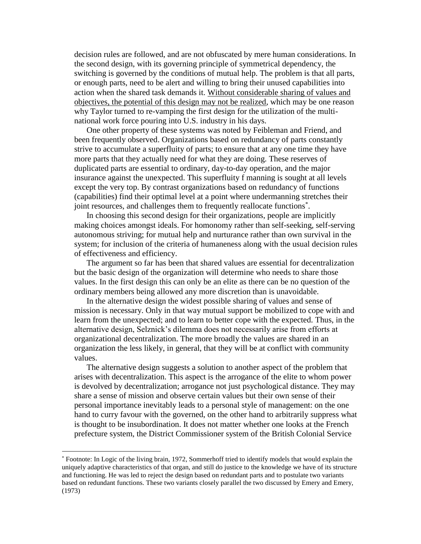decision rules are followed, and are not obfuscated by mere human considerations. In the second design, with its governing principle of symmetrical dependency, the switching is governed by the conditions of mutual help. The problem is that all parts, or enough parts, need to be alert and willing to bring their unused capabilities into action when the shared task demands it. Without considerable sharing of values and objectives, the potential of this design may not be realized, which may be one reason why Taylor turned to re-vamping the first design for the utilization of the multinational work force pouring into U.S. industry in his days.

One other property of these systems was noted by Feibleman and Friend, and been frequently observed. Organizations based on redundancy of parts constantly strive to accumulate a superfluity of parts; to ensure that at any one time they have more parts that they actually need for what they are doing. These reserves of duplicated parts are essential to ordinary, day-to-day operation, and the major insurance against the unexpected. This superfluity f manning is sought at all levels except the very top. By contrast organizations based on redundancy of functions (capabilities) find their optimal level at a point where undermanning stretches their joint resources, and challenges them to frequently reallocate functions\* .

In choosing this second design for their organizations, people are implicitly making choices amongst ideals. For homonomy rather than self-seeking, self-serving autonomous striving; for mutual help and nurturance rather than own survival in the system; for inclusion of the criteria of humaneness along with the usual decision rules of effectiveness and efficiency.

The argument so far has been that shared values are essential for decentralization but the basic design of the organization will determine who needs to share those values. In the first design this can only be an elite as there can be no question of the ordinary members being allowed any more discretion than is unavoidable.

In the alternative design the widest possible sharing of values and sense of mission is necessary. Only in that way mutual support be mobilized to cope with and learn from the unexpected; and to learn to better cope with the expected. Thus, in the alternative design, Selznick's dilemma does not necessarily arise from efforts at organizational decentralization. The more broadly the values are shared in an organization the less likely, in general, that they will be at conflict with community values.

The alternative design suggests a solution to another aspect of the problem that arises with decentralization. This aspect is the arrogance of the elite to whom power is devolved by decentralization; arrogance not just psychological distance. They may share a sense of mission and observe certain values but their own sense of their personal importance inevitably leads to a personal style of management: on the one hand to curry favour with the governed, on the other hand to arbitrarily suppress what is thought to be insubordination. It does not matter whether one looks at the French prefecture system, the District Commissioner system of the British Colonial Service

 $\overline{a}$ 

<sup>\*</sup> Footnote: In Logic of the living brain, 1972, Sommerhoff tried to identify models that would explain the uniquely adaptive characteristics of that organ, and still do justice to the knowledge we have of its structure and functioning. He was led to reject the design based on redundant parts and to postulate two variants based on redundant functions. These two variants closely parallel the two discussed by Emery and Emery, (1973)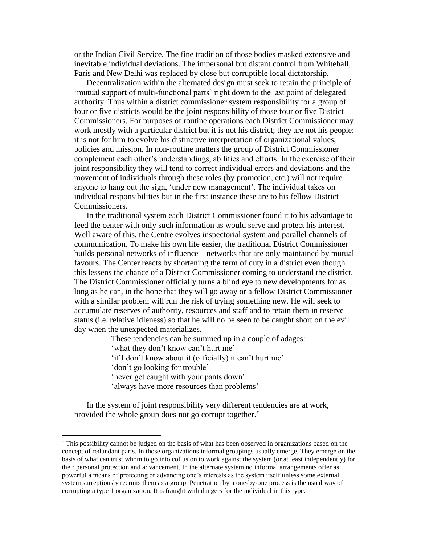or the Indian Civil Service. The fine tradition of those bodies masked extensive and inevitable individual deviations. The impersonal but distant control from Whitehall, Paris and New Delhi was replaced by close but corruptible local dictatorship.

Decentralization within the alternated design must seek to retain the principle of 'mutual support of multi-functional parts' right down to the last point of delegated authority. Thus within a district commissioner system responsibility for a group of four or five districts would be the joint responsibility of those four or five District Commissioners. For purposes of routine operations each District Commissioner may work mostly with a particular district but it is not his district; they are not his people: it is not for him to evolve his distinctive interpretation of organizational values, policies and mission. In non-routine matters the group of District Commissioner complement each other's understandings, abilities and efforts. In the exercise of their joint responsibility they will tend to correct individual errors and deviations and the movement of individuals through these roles (by promotion, etc.) will not require anyone to hang out the sign, 'under new management'. The individual takes on individual responsibilities but in the first instance these are to his fellow District Commissioners.

In the traditional system each District Commissioner found it to his advantage to feed the center with only such information as would serve and protect his interest. Well aware of this, the Centre evolves inspectorial system and parallel channels of communication. To make his own life easier, the traditional District Commissioner builds personal networks of influence – networks that are only maintained by mutual favours. The Center reacts by shortening the term of duty in a district even though this lessens the chance of a District Commissioner coming to understand the district. The District Commissioner officially turns a blind eye to new developments for as long as he can, in the hope that they will go away or a fellow District Commissioner with a similar problem will run the risk of trying something new. He will seek to accumulate reserves of authority, resources and staff and to retain them in reserve status (i.e. relative idleness) so that he will no be seen to be caught short on the evil day when the unexpected materializes.

These tendencies can be summed up in a couple of adages:

'what they don't know can't hurt me'

'if I don't know about it (officially) it can't hurt me'

'don't go looking for trouble'

 $\overline{a}$ 

'never get caught with your pants down'

'always have more resources than problems'

In the system of joint responsibility very different tendencies are at work, provided the whole group does not go corrupt together.\*

<sup>\*</sup> This possibility cannot be judged on the basis of what has been observed in organizations based on the concept of redundant parts. In those organizations informal groupings usually emerge. They emerge on the basis of what can trust whom to go into collusion to work against the system (or at least independently) for their personal protection and advancement. In the alternate system no informal arrangements offer as powerful a means of protecting or advancing one's interests as the system itself unless some external system surreptiously recruits them as a group. Penetration by a one-by-one process is the usual way of corrupting a type 1 organization. It is fraught with dangers for the individual in this type.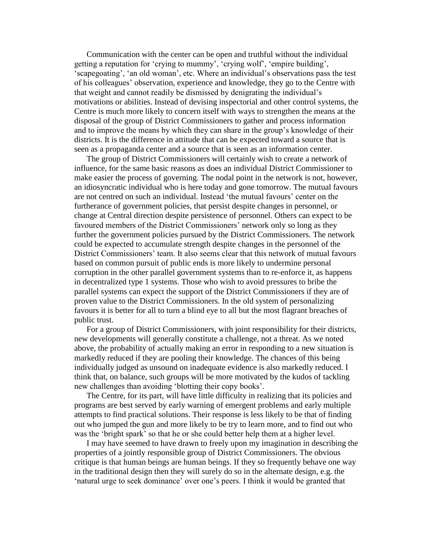Communication with the center can be open and truthful without the individual getting a reputation for 'crying to mummy', 'crying wolf', 'empire building', 'scapegoating', 'an old woman', etc. Where an individual's observations pass the test of his colleagues' observation, experience and knowledge, they go to the Centre with that weight and cannot readily be dismissed by denigrating the individual's motivations or abilities. Instead of devising inspectorial and other control systems, the Centre is much more likely to concern itself with ways to strengthen the means at the disposal of the group of District Commissioners to gather and process information and to improve the means by which they can share in the group's knowledge of their districts. It is the difference in attitude that can be expected toward a source that is seen as a propaganda center and a source that is seen as an information center.

The group of District Commissioners will certainly wish to create a network of influence, for the same basic reasons as does an individual District Commissioner to make easier the process of governing. The nodal point in the network is not, however, an idiosyncratic individual who is here today and gone tomorrow. The mutual favours are not centred on such an individual. Instead 'the mutual favours' center on the furtherance of government policies, that persist despite changes in personnel, or change at Central direction despite persistence of personnel. Others can expect to be favoured members of the District Commissioners' network only so long as they further the government policies pursued by the District Commissioners. The network could be expected to accumulate strength despite changes in the personnel of the District Commissioners' team. It also seems clear that this network of mutual favours based on common pursuit of public ends is more likely to undermine personal corruption in the other parallel government systems than to re-enforce it, as happens in decentralized type 1 systems. Those who wish to avoid pressures to bribe the parallel systems can expect the support of the District Commissioners if they are of proven value to the District Commissioners. In the old system of personalizing favours it is better for all to turn a blind eye to all but the most flagrant breaches of public trust.

For a group of District Commissioners, with joint responsibility for their districts, new developments will generally constitute a challenge, not a threat. As we noted above, the probability of actually making an error in responding to a new situation is markedly reduced if they are pooling their knowledge. The chances of this being individually judged as unsound on inadequate evidence is also markedly reduced. I think that, on balance, such groups will be more motivated by the kudos of tackling new challenges than avoiding 'blotting their copy books'.

The Centre, for its part, will have little difficulty in realizing that its policies and programs are best served by early warning of emergent problems and early multiple attempts to find practical solutions. Their response is less likely to be that of finding out who jumped the gun and more likely to be try to learn more, and to find out who was the 'bright spark' so that he or she could better help them at a higher level.

I may have seemed to have drawn to freely upon my imagination in describing the properties of a jointly responsible group of District Commissioners. The obvious critique is that human beings are human beings. If they so frequently behave one way in the traditional design then they will surely do so in the alternate design, e.g. the 'natural urge to seek dominance' over one's peers. I think it would be granted that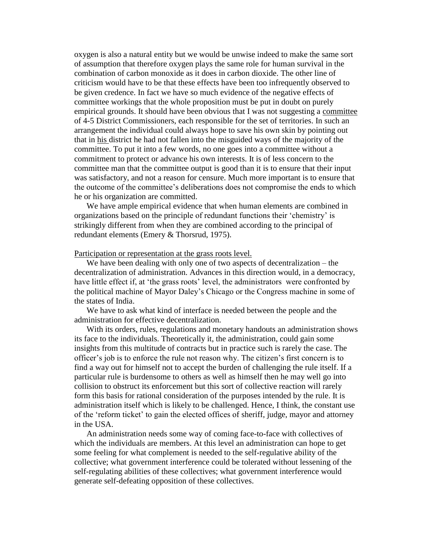oxygen is also a natural entity but we would be unwise indeed to make the same sort of assumption that therefore oxygen plays the same role for human survival in the combination of carbon monoxide as it does in carbon dioxide. The other line of criticism would have to be that these effects have been too infrequently observed to be given credence. In fact we have so much evidence of the negative effects of committee workings that the whole proposition must be put in doubt on purely empirical grounds. It should have been obvious that I was not suggesting a committee of 4-5 District Commissioners, each responsible for the set of territories. In such an arrangement the individual could always hope to save his own skin by pointing out that in his district he had not fallen into the misguided ways of the majority of the committee. To put it into a few words, no one goes into a committee without a commitment to protect or advance his own interests. It is of less concern to the committee man that the committee output is good than it is to ensure that their input was satisfactory, and not a reason for censure. Much more important is to ensure that the outcome of the committee's deliberations does not compromise the ends to which he or his organization are committed.

We have ample empirical evidence that when human elements are combined in organizations based on the principle of redundant functions their 'chemistry' is strikingly different from when they are combined according to the principal of redundant elements (Emery & Thorsrud, 1975).

#### Participation or representation at the grass roots level.

We have been dealing with only one of two aspects of decentralization – the decentralization of administration. Advances in this direction would, in a democracy, have little effect if, at 'the grass roots' level, the administrators were confronted by the political machine of Mayor Daley's Chicago or the Congress machine in some of the states of India.

We have to ask what kind of interface is needed between the people and the administration for effective decentralization.

With its orders, rules, regulations and monetary handouts an administration shows its face to the individuals. Theoretically it, the administration, could gain some insights from this multitude of contracts but in practice such is rarely the case. The officer's job is to enforce the rule not reason why. The citizen's first concern is to find a way out for himself not to accept the burden of challenging the rule itself. If a particular rule is burdensome to others as well as himself then he may well go into collision to obstruct its enforcement but this sort of collective reaction will rarely form this basis for rational consideration of the purposes intended by the rule. It is administration itself which is likely to be challenged. Hence, I think, the constant use of the 'reform ticket' to gain the elected offices of sheriff, judge, mayor and attorney in the USA.

An administration needs some way of coming face-to-face with collectives of which the individuals are members. At this level an administration can hope to get some feeling for what complement is needed to the self-regulative ability of the collective; what government interference could be tolerated without lessening of the self-regulating abilities of these collectives; what government interference would generate self-defeating opposition of these collectives.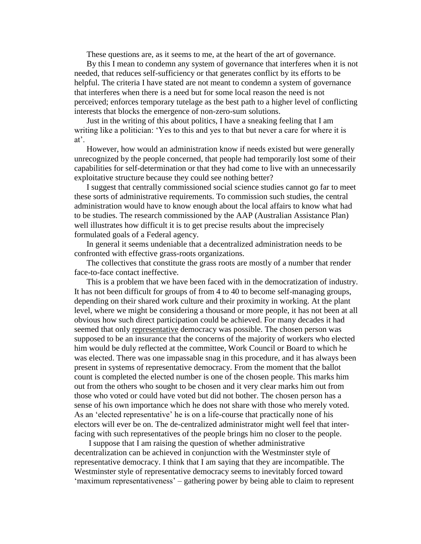These questions are, as it seems to me, at the heart of the art of governance.

By this I mean to condemn any system of governance that interferes when it is not needed, that reduces self-sufficiency or that generates conflict by its efforts to be helpful. The criteria I have stated are not meant to condemn a system of governance that interferes when there is a need but for some local reason the need is not perceived; enforces temporary tutelage as the best path to a higher level of conflicting interests that blocks the emergence of non-zero-sum solutions.

Just in the writing of this about politics, I have a sneaking feeling that I am writing like a politician: 'Yes to this and yes to that but never a care for where it is at'.

However, how would an administration know if needs existed but were generally unrecognized by the people concerned, that people had temporarily lost some of their capabilities for self-determination or that they had come to live with an unnecessarily exploitative structure because they could see nothing better?

I suggest that centrally commissioned social science studies cannot go far to meet these sorts of administrative requirements. To commission such studies, the central administration would have to know enough about the local affairs to know what had to be studies. The research commissioned by the AAP (Australian Assistance Plan) well illustrates how difficult it is to get precise results about the imprecisely formulated goals of a Federal agency.

In general it seems undeniable that a decentralized administration needs to be confronted with effective grass-roots organizations.

The collectives that constitute the grass roots are mostly of a number that render face-to-face contact ineffective.

This is a problem that we have been faced with in the democratization of industry. It has not been difficult for groups of from 4 to 40 to become self-managing groups, depending on their shared work culture and their proximity in working. At the plant level, where we might be considering a thousand or more people, it has not been at all obvious how such direct participation could be achieved. For many decades it had seemed that only representative democracy was possible. The chosen person was supposed to be an insurance that the concerns of the majority of workers who elected him would be duly reflected at the committee, Work Council or Board to which he was elected. There was one impassable snag in this procedure, and it has always been present in systems of representative democracy. From the moment that the ballot count is completed the elected number is one of the chosen people. This marks him out from the others who sought to be chosen and it very clear marks him out from those who voted or could have voted but did not bother. The chosen person has a sense of his own importance which he does not share with those who merely voted. As an 'elected representative' he is on a life-course that practically none of his electors will ever be on. The de-centralized administrator might well feel that interfacing with such representatives of the people brings him no closer to the people.

I suppose that I am raising the question of whether administrative decentralization can be achieved in conjunction with the Westminster style of representative democracy. I think that I am saying that they are incompatible. The Westminster style of representative democracy seems to inevitably forced toward 'maximum representativeness' – gathering power by being able to claim to represent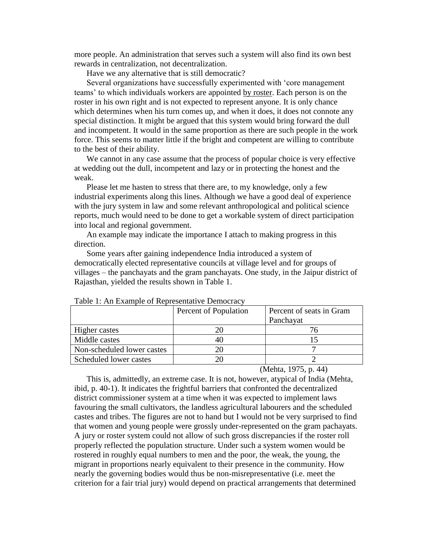more people. An administration that serves such a system will also find its own best rewards in centralization, not decentralization.

Have we any alternative that is still democratic?

Several organizations have successfully experimented with 'core management teams' to which individuals workers are appointed by roster. Each person is on the roster in his own right and is not expected to represent anyone. It is only chance which determines when his turn comes up, and when it does, it does not connote any special distinction. It might be argued that this system would bring forward the dull and incompetent. It would in the same proportion as there are such people in the work force. This seems to matter little if the bright and competent are willing to contribute to the best of their ability.

We cannot in any case assume that the process of popular choice is very effective at wedding out the dull, incompetent and lazy or in protecting the honest and the weak.

Please let me hasten to stress that there are, to my knowledge, only a few industrial experiments along this lines. Although we have a good deal of experience with the jury system in law and some relevant anthropological and political science reports, much would need to be done to get a workable system of direct participation into local and regional government.

An example may indicate the importance I attach to making progress in this direction.

Some years after gaining independence India introduced a system of democratically elected representative councils at village level and for groups of villages – the panchayats and the gram panchayats. One study, in the Jaipur district of Rajasthan, yielded the results shown in Table 1.

|                            | Percent of Population | Percent of seats in Gram |
|----------------------------|-----------------------|--------------------------|
|                            |                       | Panchayat                |
| Higher castes              |                       |                          |
| Middle castes              |                       |                          |
| Non-scheduled lower castes |                       |                          |
| Scheduled lower castes     |                       |                          |

Table 1: An Example of Representative Democracy

(Mehta, 1975, p. 44)

This is, admittedly, an extreme case. It is not, however, atypical of India (Mehta, ibid, p. 40-1). It indicates the frightful barriers that confronted the decentralized district commissioner system at a time when it was expected to implement laws favouring the small cultivators, the landless agricultural labourers and the scheduled castes and tribes. The figures are not to hand but I would not be very surprised to find that women and young people were grossly under-represented on the gram pachayats. A jury or roster system could not allow of such gross discrepancies if the roster roll properly reflected the population structure. Under such a system women would be rostered in roughly equal numbers to men and the poor, the weak, the young, the migrant in proportions nearly equivalent to their presence in the community. How nearly the governing bodies would thus be non-misrepresentative (i.e. meet the criterion for a fair trial jury) would depend on practical arrangements that determined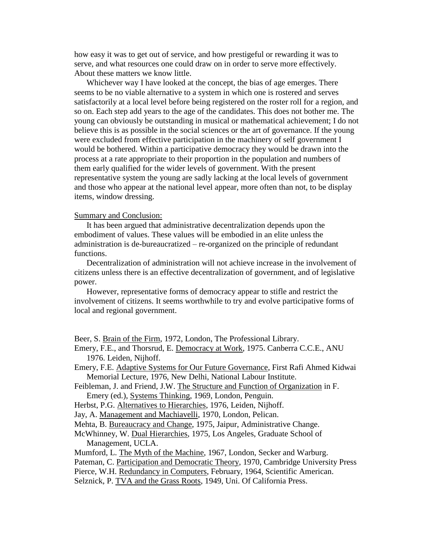how easy it was to get out of service, and how prestigeful or rewarding it was to serve, and what resources one could draw on in order to serve more effectively. About these matters we know little.

Whichever way I have looked at the concept, the bias of age emerges. There seems to be no viable alternative to a system in which one is rostered and serves satisfactorily at a local level before being registered on the roster roll for a region, and so on. Each step add years to the age of the candidates. This does not bother me. The young can obviously be outstanding in musical or mathematical achievement; I do not believe this is as possible in the social sciences or the art of governance. If the young were excluded from effective participation in the machinery of self government I would be bothered. Within a participative democracy they would be drawn into the process at a rate appropriate to their proportion in the population and numbers of them early qualified for the wider levels of government. With the present representative system the young are sadly lacking at the local levels of government and those who appear at the national level appear, more often than not, to be display items, window dressing.

### Summary and Conclusion:

It has been argued that administrative decentralization depends upon the embodiment of values. These values will be embodied in an elite unless the administration is de-bureaucratized – re-organized on the principle of redundant functions.

Decentralization of administration will not achieve increase in the involvement of citizens unless there is an effective decentralization of government, and of legislative power.

However, representative forms of democracy appear to stifle and restrict the involvement of citizens. It seems worthwhile to try and evolve participative forms of local and regional government.

Beer, S. Brain of the Firm, 1972, London, The Professional Library.

- Emery, F.E., and Thorsrud, E. Democracy at Work, 1975. Canberra C.C.E., ANU 1976. Leiden, Nijhoff.
- Emery, F.E. Adaptive Systems for Our Future Governance, First Rafi Ahmed Kidwai Memorial Lecture, 1976, New Delhi, National Labour Institute.
- Feibleman, J. and Friend, J.W. The Structure and Function of Organization in F. Emery (ed.), Systems Thinking, 1969, London, Penguin.

Herbst, P.G. Alternatives to Hierarchies, 1976, Leiden, Nijhoff.

Jay, A. Management and Machiavelli, 1970, London, Pelican.

Mehta, B. Bureaucracy and Change, 1975, Jaipur, Administrative Change.

McWhinney, W. Dual Hierarchies, 1975, Los Angeles, Graduate School of Management, UCLA.

Mumford, L. The Myth of the Machine, 1967, London, Secker and Warburg.

Pateman, C. Participation and Democratic Theory, 1970, Cambridge University Press

Pierce, W.H. Redundancy in Computers, February, 1964, Scientific American.

Selznick, P. TVA and the Grass Roots, 1949, Uni. Of California Press.